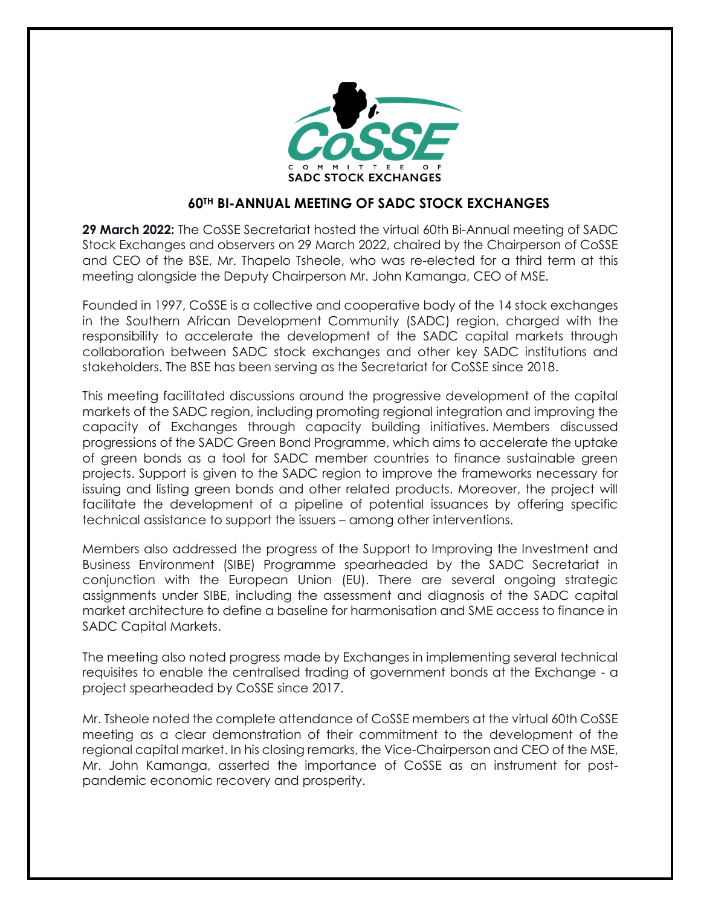

## **60TH BI-ANNUAL MEETING OF SADC STOCK EXCHANGES**

**29 March 2022:** The CoSSE Secretariat hosted the virtual 60th Bi-Annual meeting of SADC Stock Exchanges and observers on 29 March 2022, chaired by the Chairperson of CoSSE and CEO of the BSE, Mr. Thapelo Tsheole, who was re-elected for a third term at this meeting alongside the Deputy Chairperson Mr. John Kamanga, CEO of MSE.

Founded in 1997, CoSSE is a collective and cooperative body of the 14 stock exchanges in the Southern African Development Community (SADC) region, charged with the responsibility to accelerate the development of the SADC capital markets through collaboration between SADC stock exchanges and other key SADC institutions and stakeholders. The BSE has been serving as the Secretariat for CoSSE since 2018.

This meeting facilitated discussions around the progressive development of the capital markets of the SADC region, including promoting regional integration and improving the capacity of Exchanges through capacity building initiatives. Members discussed progressions of the SADC Green Bond Programme, which aims to accelerate the uptake of green bonds as a tool for SADC member countries to finance sustainable green projects. Support is given to the SADC region to improve the frameworks necessary for issuing and listing green bonds and other related products. Moreover, the project will facilitate the development of a pipeline of potential issuances by offering specific technical assistance to support the issuers – among other interventions.

Members also addressed the progress of the Support to Improving the Investment and Business Environment (SIBE) Programme spearheaded by the SADC Secretariat in conjunction with the European Union (EU). There are several ongoing strategic assignments under SIBE, including the assessment and diagnosis of the SADC capital market architecture to define a baseline for harmonisation and SME access to finance in SADC Capital Markets.

The meeting also noted progress made by Exchanges in implementing several technical requisites to enable the centralised trading of government bonds at the Exchange - a project spearheaded by CoSSE since 2017.

Mr. Tsheole noted the complete attendance of CoSSE members at the virtual 60th CoSSE meeting as a clear demonstration of their commitment to the development of the regional capital market. In his closing remarks, the Vice-Chairperson and CEO of the MSE, Mr. John Kamanga, asserted the importance of CoSSE as an instrument for postpandemic economic recovery and prosperity.